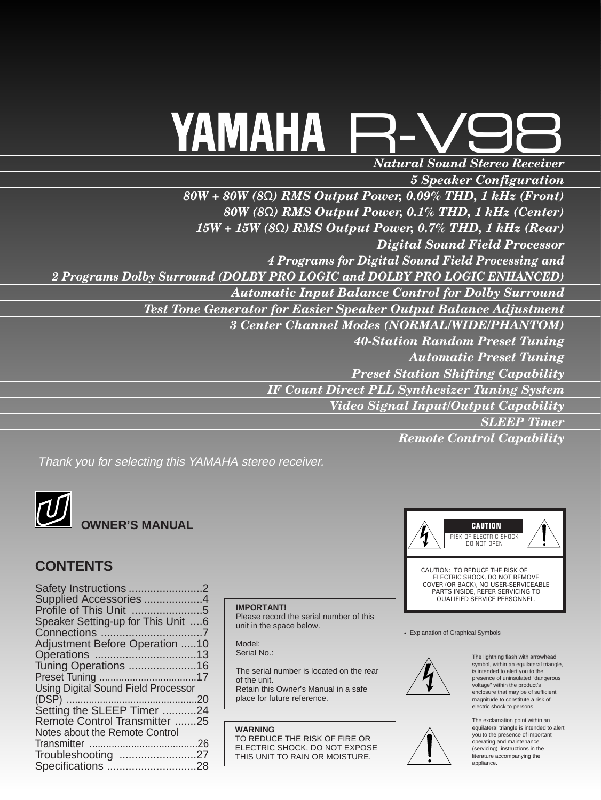## *Natural Sound Stereo Receiver* R-V98 YAMAHA

*5 Speaker Configuration 80W + 80W (8*Ω*) RMS Output Power, 0.09% THD, 1 kHz (Front) 80W (8*Ω*) RMS Output Power, 0.1% THD, 1 kHz (Center) 15W + 15W (8*Ω*) RMS Output Power, 0.7% THD, 1 kHz (Rear) Digital Sound Field Processor 4 Programs for Digital Sound Field Processing and 2 Programs Dolby Surround (DOLBY PRO LOGIC and DOLBY PRO LOGIC ENHANCED) Automatic Input Balance Control for Dolby Surround Test Tone Generator for Easier Speaker Output Balance Adjustment 3 Center Channel Modes (NORMAL/WIDE/PHANTOM) 40-Station Random Preset Tuning Automatic Preset Tuning Preset Station Shifting Capability IF Count Direct PLL Synthesizer Tuning System Video Signal Input/Output Capability SLEEP Timer Remote Control Capability*

Thank you for selecting this YAMAHA stereo receiver.



**WNER'S MANUAL** 

## **CONTENTS**

| Supplied Accessories 4                     |  |
|--------------------------------------------|--|
|                                            |  |
| Speaker Setting-up for This Unit 6         |  |
|                                            |  |
| <b>Adjustment Before Operation 10</b>      |  |
|                                            |  |
| Tuning Operations 16                       |  |
|                                            |  |
| <b>Using Digital Sound Field Processor</b> |  |
|                                            |  |
| Setting the SLEEP Timer 24                 |  |
| Remote Control Transmitter 25              |  |
| Notes about the Remote Control             |  |
|                                            |  |
| Troubleshooting 27                         |  |
|                                            |  |
|                                            |  |

#### **IMPORTANT!**

Please record the serial number of this unit in the space below.

Model: Serial No.:

The serial number is located on the rear of the unit. Retain this Owner's Manual in a safe

place for future reference.

**WARNING** TO REDUCE THE RISK OF FIRE OR ELECTRIC SHOCK, DO NOT EXPOSE THIS UNIT TO RAIN OR MOISTURE.



COVER (OR BACK), NO USER-SERVICEABLE PARTS INSIDE, REFER SERVICING TO QUALIFIED SERVICE PERSONNEL.

• Explanation of Graphical Symbols



The lightning flash with arrowhead symbol, within an equilateral triangle, is intended to alert you to the presence of uninsulated "dangerous voltage" within the product's enclosure that may be of sufficient magnitude to constitute a risk of electric shock to persons.



The exclamation point within an equilateral triangle is intended to alert you to the presence of important operating and maintenance (servicing) instructions in the literature accompanying the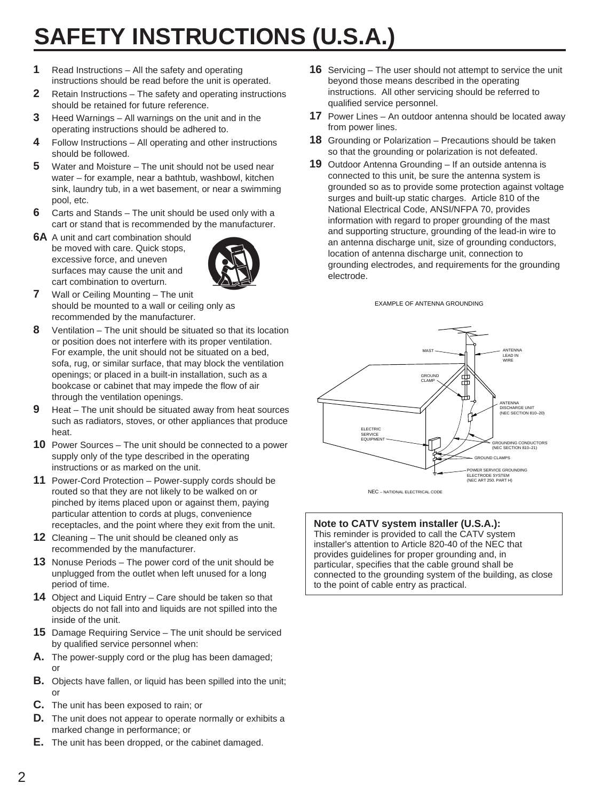## **SAFETY INSTRUCTIONS (U.S.A.)**

- **1** Read Instructions All the safety and operating instructions should be read before the unit is operated.
- **2** Retain Instructions The safety and operating instructions should be retained for future reference.
- **3** Heed Warnings All warnings on the unit and in the operating instructions should be adhered to.
- **4** Follow Instructions All operating and other instructions should be followed.
- **5** Water and Moisture The unit should not be used near water – for example, near a bathtub, washbowl, kitchen sink, laundry tub, in a wet basement, or near a swimming pool, etc.
- **6** Carts and Stands The unit should be used only with a cart or stand that is recommended by the manufacturer.
- **6A** A unit and cart combination should be moved with care. Quick stops, excessive force, and uneven surfaces may cause the unit and cart combination to overturn.



- **7** Wall or Ceiling Mounting The unit should be mounted to a wall or ceiling only as recommended by the manufacturer.
- **8** Ventilation The unit should be situated so that its location or position does not interfere with its proper ventilation. For example, the unit should not be situated on a bed, sofa, rug, or similar surface, that may block the ventilation openings; or placed in a built-in installation, such as a bookcase or cabinet that may impede the flow of air through the ventilation openings.
- **9** Heat The unit should be situated away from heat sources such as radiators, stoves, or other appliances that produce heat.
- **10** Power Sources The unit should be connected to a power supply only of the type described in the operating instructions or as marked on the unit.
- **11** Power-Cord Protection Power-supply cords should be routed so that they are not likely to be walked on or pinched by items placed upon or against them, paying particular attention to cords at plugs, convenience receptacles, and the point where they exit from the unit.
- **12** Cleaning The unit should be cleaned only as recommended by the manufacturer.
- **13** Nonuse Periods The power cord of the unit should be unplugged from the outlet when left unused for a long period of time.
- **14** Object and Liquid Entry Care should be taken so that objects do not fall into and liquids are not spilled into the inside of the unit.
- **15** Damage Requiring Service The unit should be serviced by qualified service personnel when:
- **A.** The power-supply cord or the plug has been damaged; or
- **B.** Objects have fallen, or liquid has been spilled into the unit; or
- **C.** The unit has been exposed to rain; or
- **D.** The unit does not appear to operate normally or exhibits a marked change in performance; or
- **E.** The unit has been dropped, or the cabinet damaged.
- **16** Servicing The user should not attempt to service the unit beyond those means described in the operating instructions. All other servicing should be referred to qualified service personnel.
- **17** Power Lines An outdoor antenna should be located away from power lines.
- **18** Grounding or Polarization Precautions should be taken so that the grounding or polarization is not defeated.
- **19** Outdoor Antenna Grounding If an outside antenna is connected to this unit, be sure the antenna system is grounded so as to provide some protection against voltage surges and built-up static charges. Article 810 of the National Electrical Code, ANSI/NFPA 70, provides information with regard to proper grounding of the mast and supporting structure, grounding of the lead-in wire to an antenna discharge unit, size of grounding conductors, location of antenna discharge unit, connection to grounding electrodes, and requirements for the grounding electrode.

EXAMPLE OF ANTENNA GROUNDING



#### **Note to CATV system installer (U.S.A.):**

This reminder is provided to call the CATV system installer's attention to Article 820-40 of the NEC that provides guidelines for proper grounding and, in particular, specifies that the cable ground shall be connected to the grounding system of the building, as close to the point of cable entry as practical.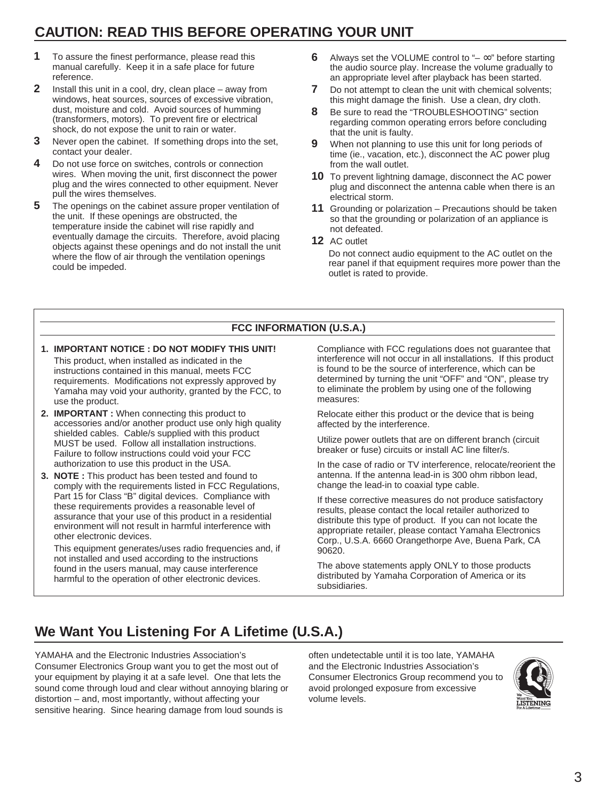## **CAUTION: READ THIS BEFORE OPERATING YOUR UNIT**

- **1** To assure the finest performance, please read this manual carefully. Keep it in a safe place for future reference.
- **2** Install this unit in a cool, dry, clean place away from windows, heat sources, sources of excessive vibration, dust, moisture and cold. Avoid sources of humming (transformers, motors). To prevent fire or electrical shock, do not expose the unit to rain or water.
- **3** Never open the cabinet. If something drops into the set, contact your dealer.
- **4** Do not use force on switches, controls or connection wires. When moving the unit, first disconnect the power plug and the wires connected to other equipment. Never pull the wires themselves.
- **5** The openings on the cabinet assure proper ventilation of the unit. If these openings are obstructed, the temperature inside the cabinet will rise rapidly and eventually damage the circuits. Therefore, avoid placing objects against these openings and do not install the unit where the flow of air through the ventilation openings could be impeded.
- **6** Always set the VOLUME control to "– ∞" before starting the audio source play. Increase the volume gradually to an appropriate level after playback has been started.
- **7** Do not attempt to clean the unit with chemical solvents; this might damage the finish. Use a clean, dry cloth.
- **8** Be sure to read the "TROUBLESHOOTING" section regarding common operating errors before concluding that the unit is faulty.
- **9** When not planning to use this unit for long periods of time (ie., vacation, etc.), disconnect the AC power plug from the wall outlet.
- **10** To prevent lightning damage, disconnect the AC power plug and disconnect the antenna cable when there is an electrical storm.
- **11** Grounding or polarization Precautions should be taken so that the grounding or polarization of an appliance is not defeated.
- **12** AC outlet

Do not connect audio equipment to the AC outlet on the rear panel if that equipment requires more power than the outlet is rated to provide.

#### **FCC INFORMATION (U.S.A.)**

#### **1. IMPORTANT NOTICE : DO NOT MODIFY THIS UNIT!** This product, when installed as indicated in the instructions contained in this manual, meets FCC requirements. Modifications not expressly approved by Yamaha may void your authority, granted by the FCC, to

- use the product. **2. IMPORTANT :** When connecting this product to accessories and/or another product use only high quality shielded cables. Cable/s supplied with this product MUST be used. Follow all installation instructions. Failure to follow instructions could void your FCC authorization to use this product in the USA.
- **3. NOTE :** This product has been tested and found to comply with the requirements listed in FCC Regulations, Part 15 for Class "B" digital devices. Compliance with these requirements provides a reasonable level of assurance that your use of this product in a residential environment will not result in harmful interference with other electronic devices.

This equipment generates/uses radio frequencies and, if not installed and used according to the instructions found in the users manual, may cause interference harmful to the operation of other electronic devices.

Compliance with FCC regulations does not guarantee that interference will not occur in all installations. If this product is found to be the source of interference, which can be determined by turning the unit "OFF" and "ON", please try to eliminate the problem by using one of the following measures:

Relocate either this product or the device that is being affected by the interference.

Utilize power outlets that are on different branch (circuit breaker or fuse) circuits or install AC line filter/s.

In the case of radio or TV interference, relocate/reorient the antenna. If the antenna lead-in is 300 ohm ribbon lead, change the lead-in to coaxial type cable.

If these corrective measures do not produce satisfactory results, please contact the local retailer authorized to distribute this type of product. If you can not locate the appropriate retailer, please contact Yamaha Electronics Corp., U.S.A. 6660 Orangethorpe Ave, Buena Park, CA 90620.

The above statements apply ONLY to those products distributed by Yamaha Corporation of America or its subsidiaries.

## **We Want You Listening For A Lifetime (U.S.A.)**

YAMAHA and the Electronic Industries Association's Consumer Electronics Group want you to get the most out of your equipment by playing it at a safe level. One that lets the sound come through loud and clear without annoying blaring or distortion – and, most importantly, without affecting your sensitive hearing. Since hearing damage from loud sounds is

often undetectable until it is too late, YAMAHA and the Electronic Industries Association's Consumer Electronics Group recommend you to avoid prolonged exposure from excessive volume levels.

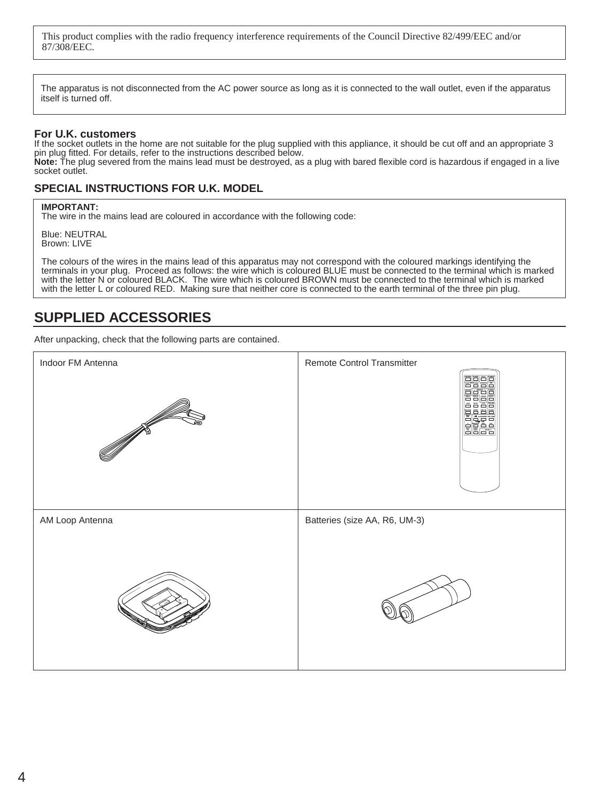This product complies with the radio frequency interference requirements of the Council Directive 82/499/EEC and/or 87/308/EEC.

The apparatus is not disconnected from the AC power source as long as it is connected to the wall outlet, even if the apparatus itself is turned off.

#### **For U.K. customers**

If the socket outlets in the home are not suitable for the plug supplied with this appliance, it should be cut off and an appropriate 3 pin plug fitted. For details, refer to the instructions described below. **Note:** The plug severed from the mains lead must be destroyed, as a plug with bared flexible cord is hazardous if engaged in a live socket outlet.

#### **SPECIAL INSTRUCTIONS FOR U.K. MODEL**

#### **IMPORTANT:**

The wire in the mains lead are coloured in accordance with the following code:

Blue: NEUTRAL Brown: LIVE

The colours of the wires in the mains lead of this apparatus may not correspond with the coloured markings identifying the terminals in your plug. Proceed as follows: the wire which is coloured BLUE must be connected to the terminal which is marked with the letter N or coloured BLACK. The wire which is coloured BROWN must be connected to the terminal which is marked with the letter L or coloured RED. Making sure that neither core is connected to the earth terminal of the three pin plug.

### **SUPPLIED ACCESSORIES**

After unpacking, check that the following parts are contained.

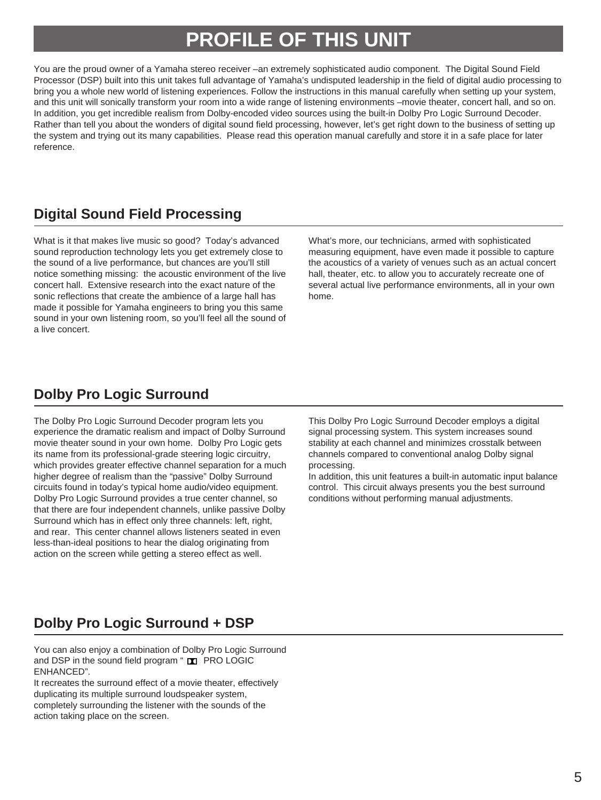## **PROFILE OF THIS UNIT**

You are the proud owner of a Yamaha stereo receiver –an extremely sophisticated audio component. The Digital Sound Field Processor (DSP) built into this unit takes full advantage of Yamaha's undisputed leadership in the field of digital audio processing to bring you a whole new world of listening experiences. Follow the instructions in this manual carefully when setting up your system, and this unit will sonically transform your room into a wide range of listening environments –movie theater, concert hall, and so on. In addition, you get incredible realism from Dolby-encoded video sources using the built-in Dolby Pro Logic Surround Decoder. Rather than tell you about the wonders of digital sound field processing, however, let's get right down to the business of setting up the system and trying out its many capabilities. Please read this operation manual carefully and store it in a safe place for later reference.

## **Digital Sound Field Processing**

What is it that makes live music so good? Today's advanced sound reproduction technology lets you get extremely close to the sound of a live performance, but chances are you'll still notice something missing: the acoustic environment of the live concert hall. Extensive research into the exact nature of the sonic reflections that create the ambience of a large hall has made it possible for Yamaha engineers to bring you this same sound in your own listening room, so you'll feel all the sound of a live concert.

What's more, our technicians, armed with sophisticated measuring equipment, have even made it possible to capture the acoustics of a variety of venues such as an actual concert hall, theater, etc. to allow you to accurately recreate one of several actual live performance environments, all in your own home.

### **Dolby Pro Logic Surround**

The Dolby Pro Logic Surround Decoder program lets you experience the dramatic realism and impact of Dolby Surround movie theater sound in your own home. Dolby Pro Logic gets its name from its professional-grade steering logic circuitry, which provides greater effective channel separation for a much higher degree of realism than the "passive" Dolby Surround circuits found in today's typical home audio/video equipment. Dolby Pro Logic Surround provides a true center channel, so that there are four independent channels, unlike passive Dolby Surround which has in effect only three channels: left, right, and rear. This center channel allows listeners seated in even less-than-ideal positions to hear the dialog originating from action on the screen while getting a stereo effect as well.

This Dolby Pro Logic Surround Decoder employs a digital signal processing system. This system increases sound stability at each channel and minimizes crosstalk between channels compared to conventional analog Dolby signal processing.

In addition, this unit features a built-in automatic input balance control. This circuit always presents you the best surround conditions without performing manual adjustments.

## **Dolby Pro Logic Surround + DSP**

You can also enjoy a combination of Dolby Pro Logic Surround and DSP in the sound field program " T PRO LOGIC ENHANCED".

It recreates the surround effect of a movie theater, effectively duplicating its multiple surround loudspeaker system, completely surrounding the listener with the sounds of the action taking place on the screen.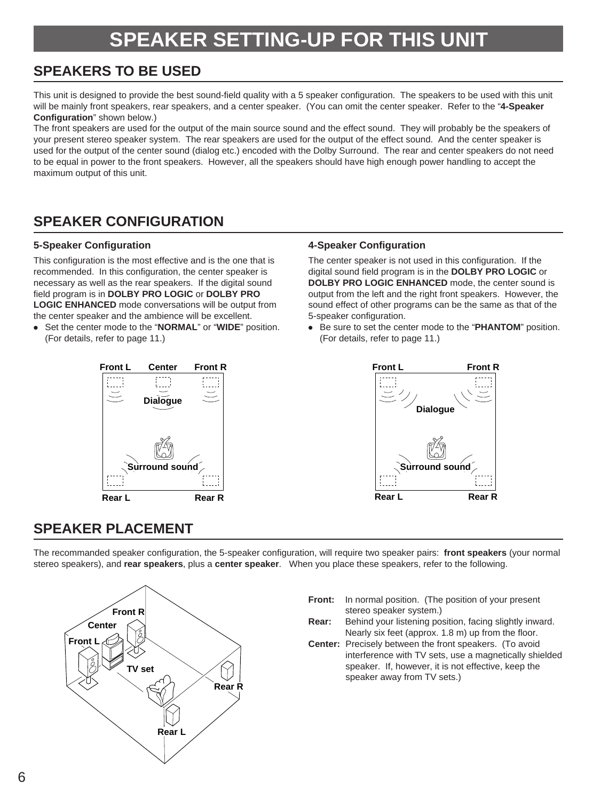## **SPEAKER SETTING-UP FOR THIS UNIT**

## **SPEAKERS TO BE USED**

This unit is designed to provide the best sound-field quality with a 5 speaker configuration. The speakers to be used with this unit will be mainly front speakers, rear speakers, and a center speaker. (You can omit the center speaker. Refer to the "**4-Speaker Configuration**" shown below.)

The front speakers are used for the output of the main source sound and the effect sound. They will probably be the speakers of your present stereo speaker system. The rear speakers are used for the output of the effect sound. And the center speaker is used for the output of the center sound (dialog etc.) encoded with the Dolby Surround. The rear and center speakers do not need to be equal in power to the front speakers. However, all the speakers should have high enough power handling to accept the maximum output of this unit.

## **SPEAKER CONFIGURATION**

#### **5-Speaker Configuration**

This configuration is the most effective and is the one that is recommended. In this configuration, the center speaker is necessary as well as the rear speakers. If the digital sound field program is in **DOLBY PRO LOGIC** or **DOLBY PRO LOGIC ENHANCED** mode conversations will be output from the center speaker and the ambience will be excellent.

● Set the center mode to the "**NORMAL**" or "**WIDE**" position. (For details, refer to page 11.)



#### **4-Speaker Configuration**

The center speaker is not used in this configuration. If the digital sound field program is in the **DOLBY PRO LOGIC** or **DOLBY PRO LOGIC ENHANCED** mode, the center sound is output from the left and the right front speakers. However, the sound effect of other programs can be the same as that of the 5-speaker configuration.

● Be sure to set the center mode to the "**PHANTOM**" position. (For details, refer to page 11.)



## **SPEAKER PLACEMENT**

The recommanded speaker configuration, the 5-speaker configuration, will require two speaker pairs: **front speakers** (your normal stereo speakers), and **rear speakers**, plus a **center speaker**. When you place these speakers, refer to the following.

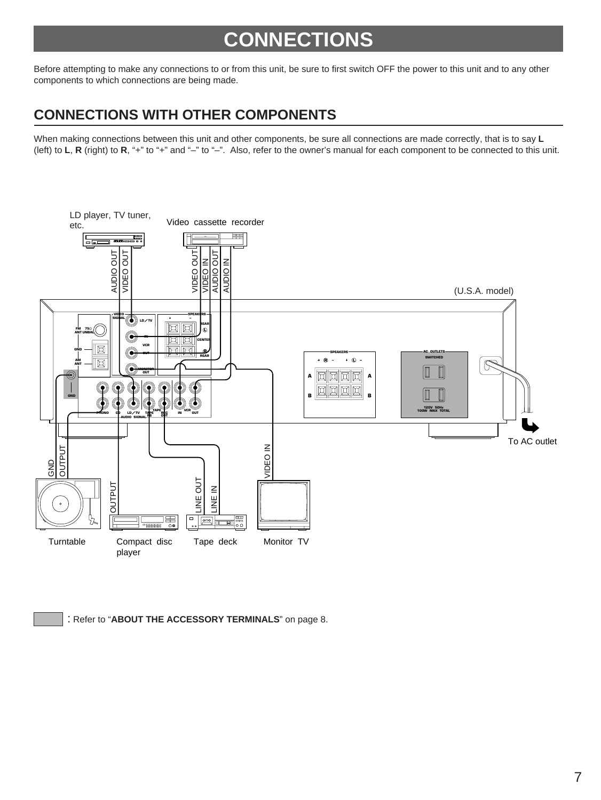## **CONNECTIONS**

Before attempting to make any connections to or from this unit, be sure to first switch OFF the power to this unit and to any other components to which connections are being made.

## **CONNECTIONS WITH OTHER COMPONENTS**

When making connections between this unit and other components, be sure all connections are made correctly, that is to say **L** (left) to **L**, **R** (right) to **R**, "+" to "+" and "–" to "–". Also, refer to the owner's manual for each component to be connected to this unit.



: Refer to "**ABOUT THE ACCESSORY TERMINALS**" on page 8.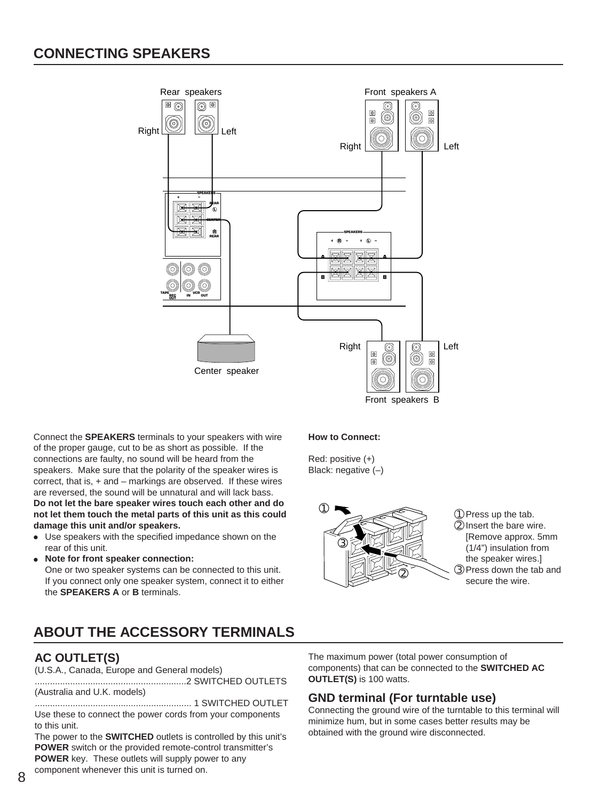

Front speakers B

Connect the **SPEAKERS** terminals to your speakers with wire of the proper gauge, cut to be as short as possible. If the connections are faulty, no sound will be heard from the speakers. Make sure that the polarity of the speaker wires is correct, that is, + and – markings are observed. If these wires are reversed, the sound will be unnatural and will lack bass. **Do not let the bare speaker wires touch each other and do not let them touch the metal parts of this unit as this could damage this unit and/or speakers.**

- Use speakers with the specified impedance shown on the rear of this unit.
- **Note for front speaker connection:**

One or two speaker systems can be connected to this unit. If you connect only one speaker system, connect it to either the **SPEAKERS A** or **B** terminals.

## **How to Connect:**

Red: positive (+) Black: negative (–)



➀Press up the tab. ➁Insert the bare wire.

[Remove approx. 5mm (1/4") insulation from

- the speaker wires.]
- ➂Press down the tab and secure the wire.

## **ABOUT THE ACCESSORY TERMINALS**

### **AC OUTLET(S)**

(U.S.A., Canada, Europe and General models)

............................................................2 SWITCHED OUTLETS (Australia and U.K. models)

.............................................................. 1 SWITCHED OUTLET Use these to connect the power cords from your components to this unit.

The power to the **SWITCHED** outlets is controlled by this unit's **POWER** switch or the provided remote-control transmitter's **POWER** key. These outlets will supply power to any component whenever this unit is turned on.

The maximum power (total power consumption of components) that can be connected to the **SWITCHED AC OUTLET(S)** is 100 watts.

#### **GND terminal (For turntable use)**

Connecting the ground wire of the turntable to this terminal will minimize hum, but in some cases better results may be obtained with the ground wire disconnected.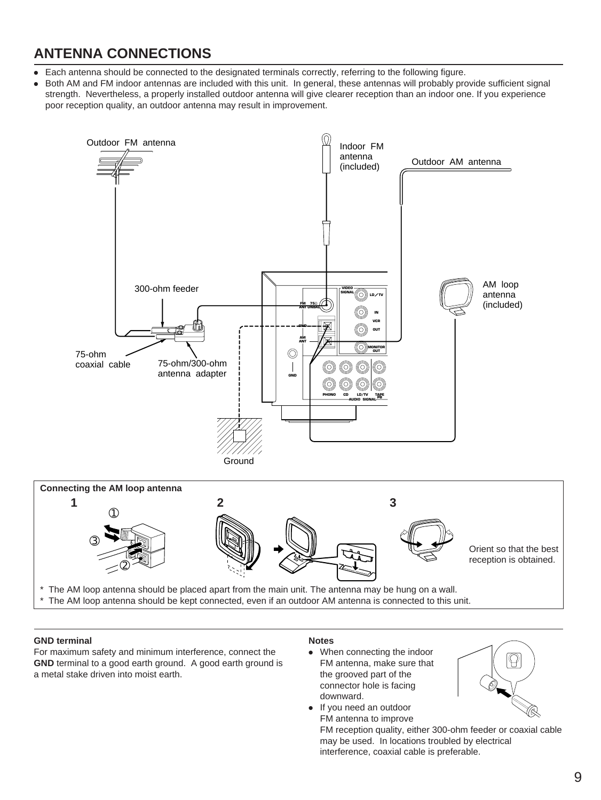## **ANTENNA CONNECTIONS**

- Each antenna should be connected to the designated terminals correctly, referring to the following figure.
- Both AM and FM indoor antennas are included with this unit. In general, these antennas will probably provide sufficient signal strength. Nevertheless, a properly installed outdoor antenna will give clearer reception than an indoor one. If you experience poor reception quality, an outdoor antenna may result in improvement.



#### **GND terminal**

For maximum safety and minimum interference, connect the **GND** terminal to a good earth ground. A good earth ground is a metal stake driven into moist earth.

#### **Notes**

● When connecting the indoor FM antenna, make sure that the grooved part of the connector hole is facing downward.

● If you need an outdoor

FM antenna to improve FM reception quality, either 300-ohm feeder or coaxial cable may be used. In locations troubled by electrical interference, coaxial cable is preferable.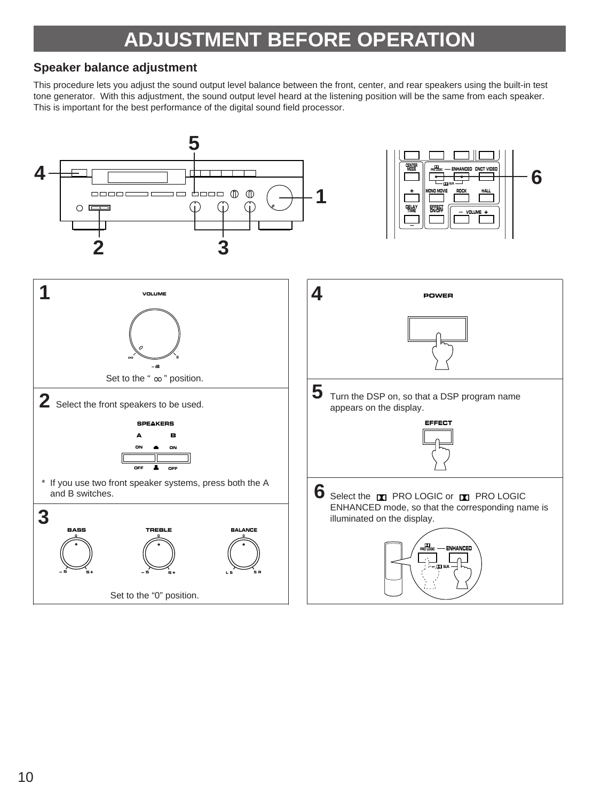## **ADJUSTMENT BEFORE OPERATION**

### **Speaker balance adjustment**

This procedure lets you adjust the sound output level balance between the front, center, and rear speakers using the built-in test tone generator. With this adjustment, the sound output level heard at the listening position will be the same from each speaker. This is important for the best performance of the digital sound field processor.

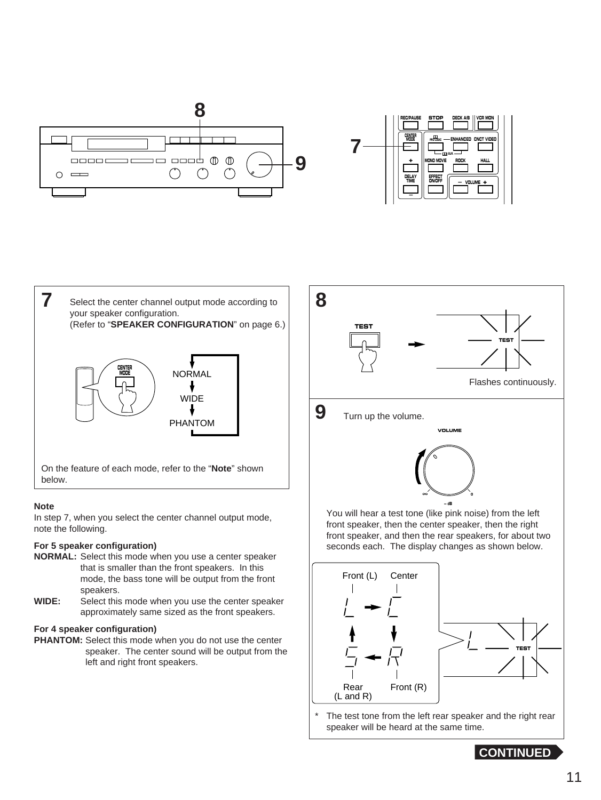

| DECK A/B II VCR MON<br><b>REC/PAUSE</b><br><b>STOP</b>                                                 |
|--------------------------------------------------------------------------------------------------------|
| <b>CENTER</b><br>$\mathbf{m}$<br>MODE<br><b>ENHANCED CNCT VIDEO</b><br>$-00$ sup.                      |
| <b>MONO MOVIE</b><br>ROCK<br><b>HALL</b><br>DELAY<br>EFFECT<br>TIME<br><b>ON/OFF</b><br>$-$ VOLUME $+$ |
|                                                                                                        |



#### **Note**

In step 7, when you select the center channel output mode, note the following.

#### **For 5 speaker configuration)**

- **NORMAL:** Select this mode when you use a center speaker that is smaller than the front speakers. In this mode, the bass tone will be output from the front speakers.
- **WIDE:** Select this mode when you use the center speaker approximately same sized as the front speakers.

#### **For 4 speaker configuration)**

**PHANTOM:** Select this mode when you do not use the center speaker. The center sound will be output from the left and right front speakers.





The test tone from the left rear speaker and the right rear speaker will be heard at the same time.

**CONTINUED**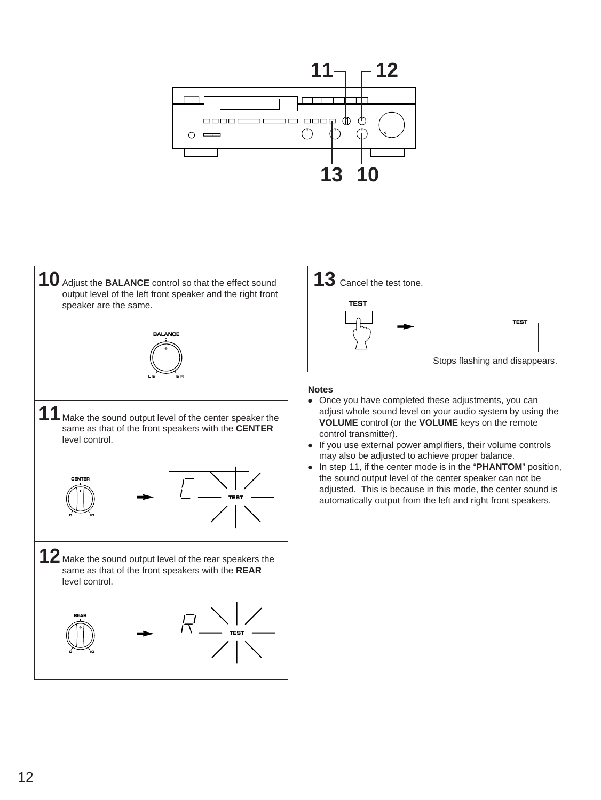





#### **Notes**

- Once you have completed these adjustments, you can adjust whole sound level on your audio system by using the **VOLUME** control (or the **VOLUME** keys on the remote control transmitter).
- If you use external power amplifiers, their volume controls may also be adjusted to achieve proper balance.
- In step 11, if the center mode is in the "**PHANTOM**" position, the sound output level of the center speaker can not be adjusted. This is because in this mode, the center sound is automatically output from the left and right front speakers.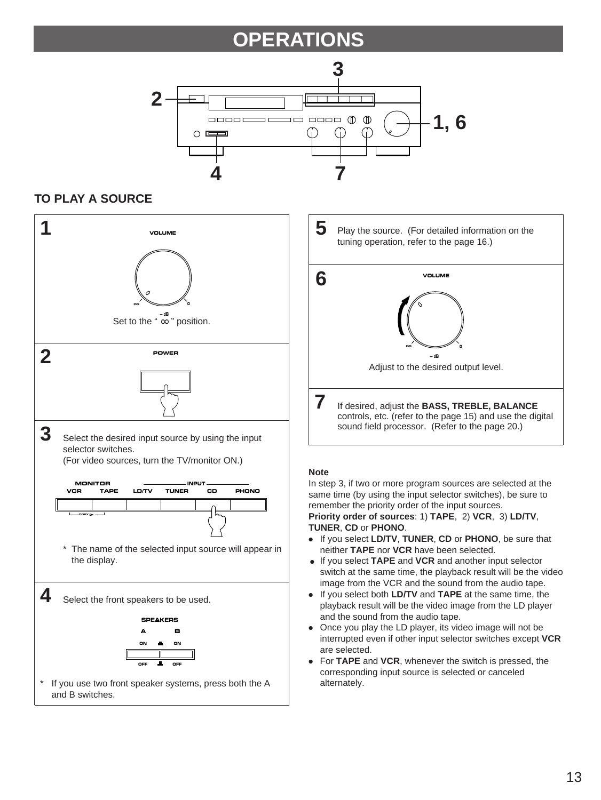## **OPERATIONS**



### **TO PLAY A SOURCE**

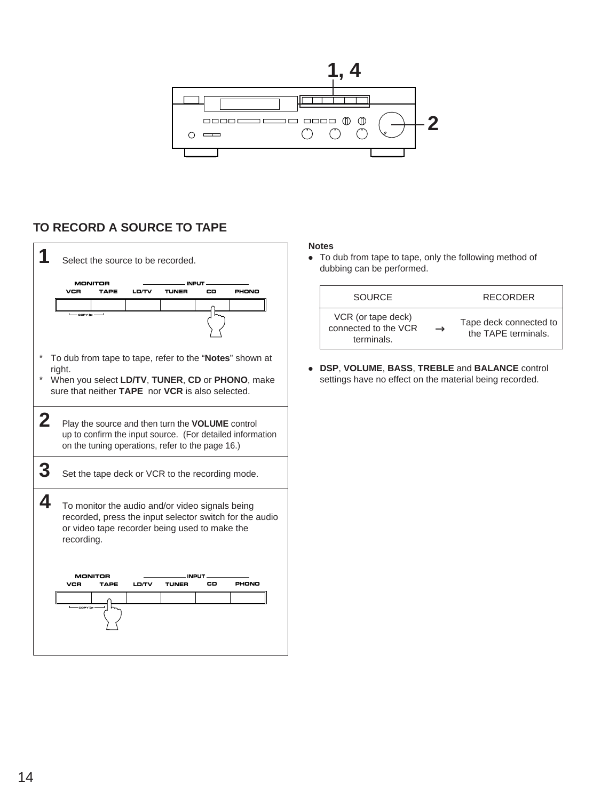

### **TO RECORD A SOURCE TO TAPE**



#### **Notes**

● To dub from tape to tape, only the following method of dubbing can be performed.

| SOURCE                                                   |               | <b>RECORDER</b>                               |
|----------------------------------------------------------|---------------|-----------------------------------------------|
| VCR (or tape deck)<br>connected to the VCR<br>terminals. | $\rightarrow$ | Tape deck connected to<br>the TAPE terminals. |

● **DSP**, **VOLUME**, **BASS**, **TREBLE** and **BALANCE** control settings have no effect on the material being recorded.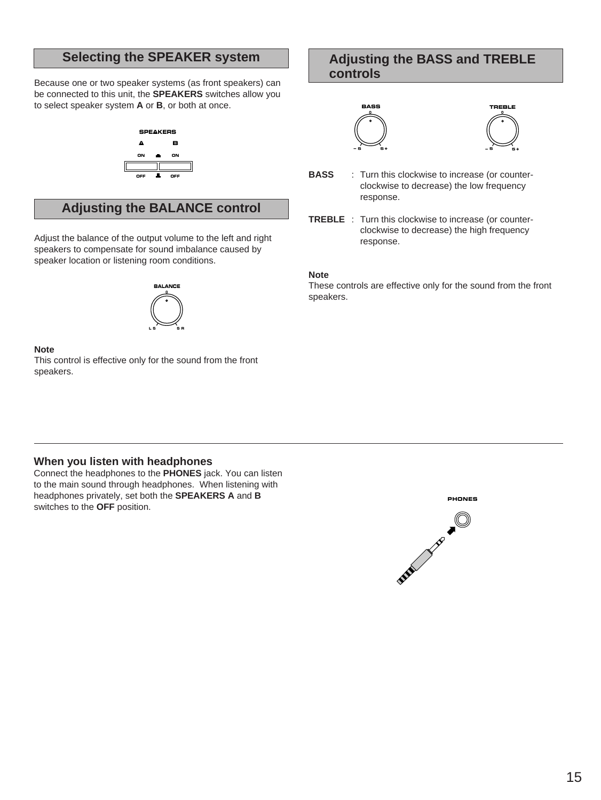Because one or two speaker systems (as front speakers) can be connected to this unit, the **SPEAKERS** switches allow you to select speaker system **A** or **B**, or both at once.



### **Adjusting the BALANCE control**

Adjust the balance of the output volume to the left and right speakers to compensate for sound imbalance caused by speaker location or listening room conditions.



#### **Note**

This control is effective only for the sound from the front speakers.

### **Selecting the SPEAKER system Adjusting the BASS and TREBLE controls**





- **BASS** : Turn this clockwise to increase (or counterclockwise to decrease) the low frequency response.
- **TREBLE** : Turn this clockwise to increase (or counterclockwise to decrease) the high frequency response.

#### **Note**

These controls are effective only for the sound from the front speakers.

#### **When you listen with headphones**

Connect the headphones to the **PHONES** jack. You can listen to the main sound through headphones. When listening with headphones privately, set both the **SPEAKERS A** and **B** switches to the **OFF** position.

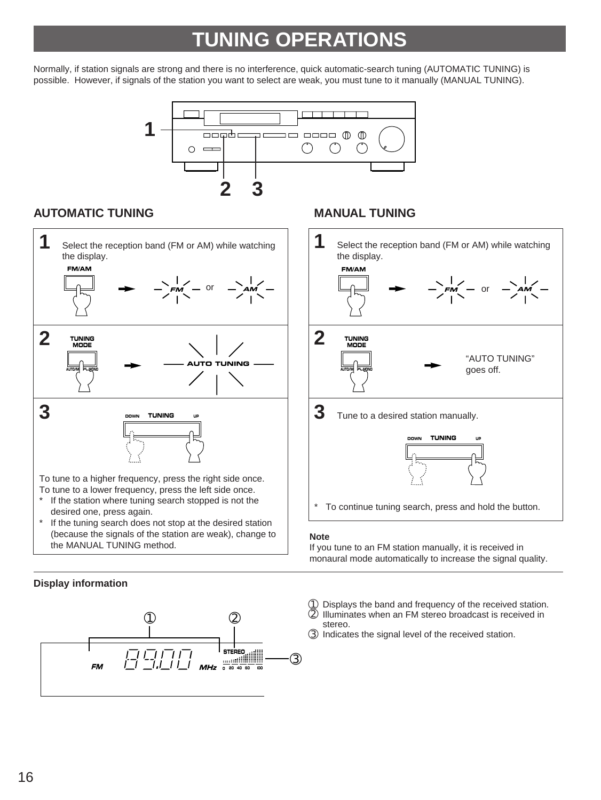## **TUNING OPERATIONS**

Normally, if station signals are strong and there is no interference, quick automatic-search tuning (AUTOMATIC TUNING) is possible. However, if signals of the station you want to select are weak, you must tune to it manually (MANUAL TUNING).



### **AUTOMATIC TUNING MANUAL TUNING**



#### **Display information**





#### **Note**

If you tune to an FM station manually, it is received in monaural mode automatically to increase the signal quality.

- ① Displays the band and frequency of the received station.<br>② Illuminates when an FM stereo broadcast is received in
- ➁ Illuminates when an FM stereo broadcast is received in stereo.
- ➂ Indicates the signal level of the received station.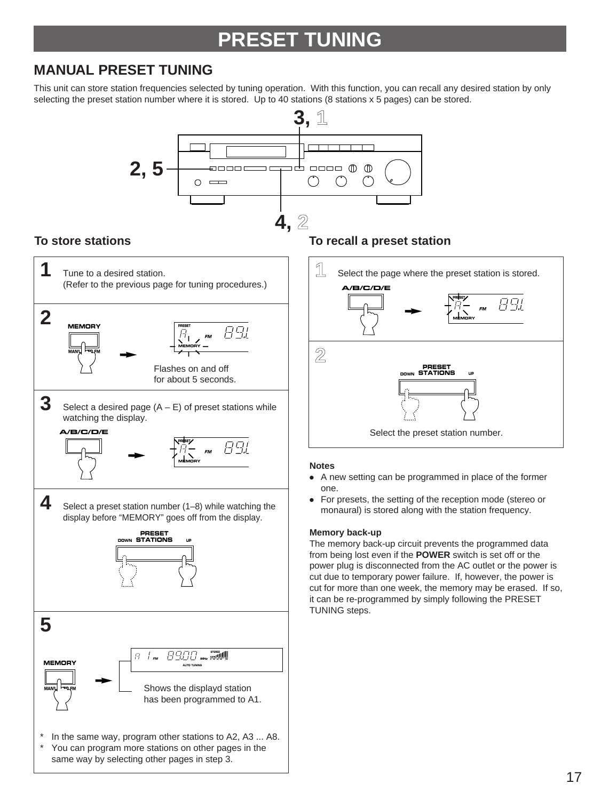## **PRESET TUNING**

## **MANUAL PRESET TUNING**

This unit can store station frequencies selected by tuning operation. With this function, you can recall any desired station by only selecting the preset station number where it is stored. Up to 40 stations (8 stations x 5 pages) can be stored.

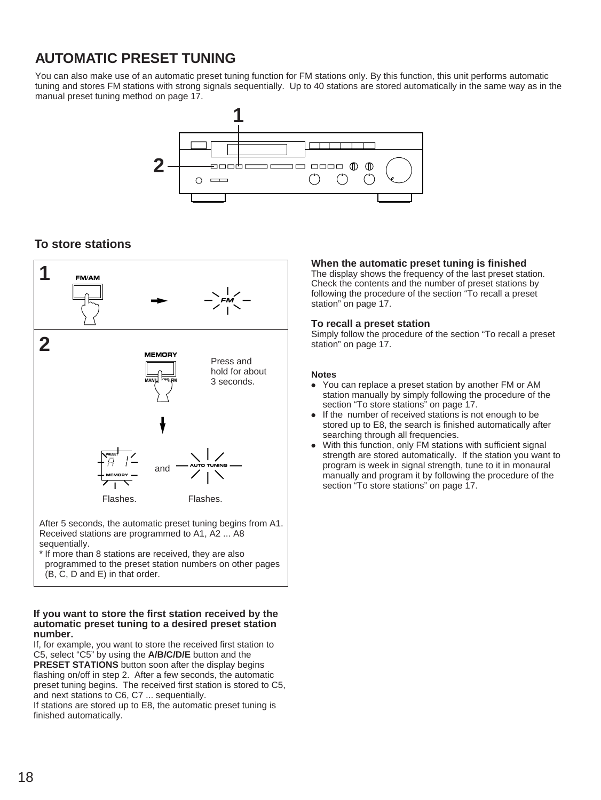## **AUTOMATIC PRESET TUNING**

You can also make use of an automatic preset tuning function for FM stations only. By this function, this unit performs automatic tuning and stores FM stations with strong signals sequentially. Up to 40 stations are stored automatically in the same way as in the manual preset tuning method on page 17.



### **To store stations**



Received stations are programmed to A1, A2 ... A8 sequentially.

\* If more than 8 stations are received, they are also programmed to the preset station numbers on other pages (B, C, D and E) in that order.

#### **If you want to store the first station received by the automatic preset tuning to a desired preset station number.**

If, for example, you want to store the received first station to C5, select "C5" by using the **A/B/C/D/E** button and the **PRESET STATIONS** button soon after the display begins flashing on/off in step 2. After a few seconds, the automatic preset tuning begins. The received first station is stored to C5, and next stations to C6, C7 ... sequentially.

If stations are stored up to E8, the automatic preset tuning is finished automatically.

#### **When the automatic preset tuning is finished**

The display shows the frequency of the last preset station. Check the contents and the number of preset stations by following the procedure of the section "To recall a preset station" on page 17.

#### **To recall a preset station**

Simply follow the procedure of the section "To recall a preset station" on page 17.

#### **Notes**

- You can replace a preset station by another FM or AM station manually by simply following the procedure of the section "To store stations" on page 17.
- If the number of received stations is not enough to be stored up to E8, the search is finished automatically after searching through all frequencies.
- With this function, only FM stations with sufficient signal strength are stored automatically. If the station you want to program is week in signal strength, tune to it in monaural manually and program it by following the procedure of the section "To store stations" on page 17.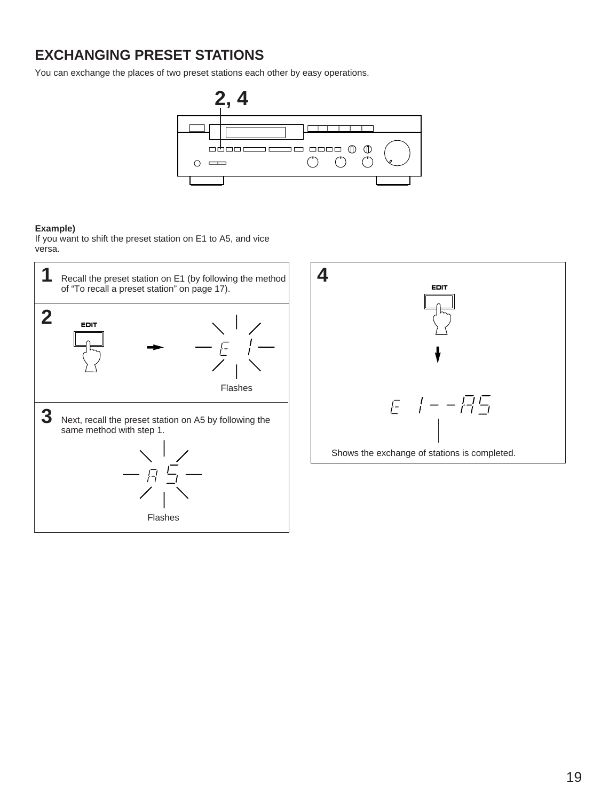## **EXCHANGING PRESET STATIONS**

You can exchange the places of two preset stations each other by easy operations.



#### **Example)**

If you want to shift the preset station on E1 to A5, and vice versa.

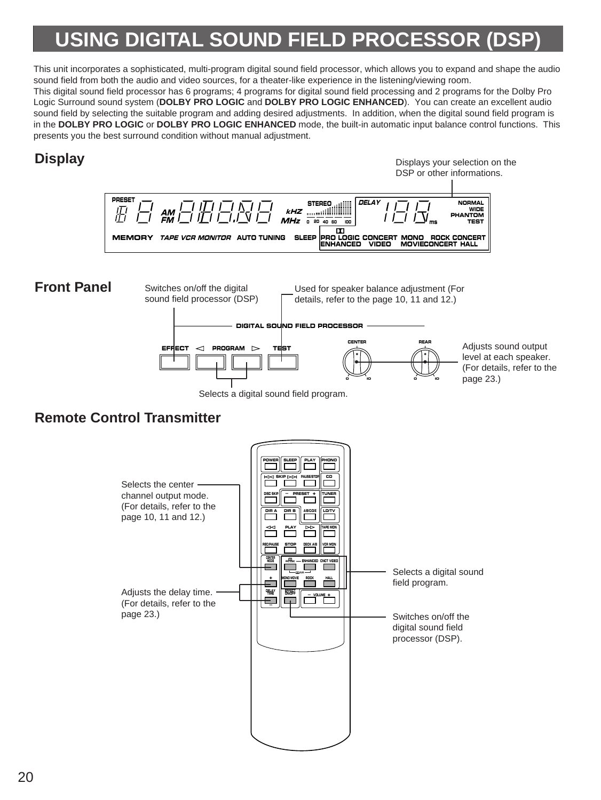## **USING DIGITAL SOUND FIELD PROCESSOR**

This unit incorporates a sophisticated, multi-program digital sound field processor, which allows you to expand and shape the audio sound field from both the audio and video sources, for a theater-like experience in the listening/viewing room. This digital sound field processor has 6 programs; 4 programs for digital sound field processing and 2 programs for the Dolby Pro Logic Surround sound system (**DOLBY PRO LOGIC** and **DOLBY PRO LOGIC ENHANCED**). You can create an excellent audio sound field by selecting the suitable program and adding desired adjustments. In addition, when the digital sound field program is in the **DOLBY PRO LOGIC** or **DOLBY PRO LOGIC ENHANCED** mode, the built-in automatic input balance control functions. This presents you the best surround condition without manual adjustment.

## **Display**

Displays your selection on the DSP or other informations.





## **Remote Control Transmitter**

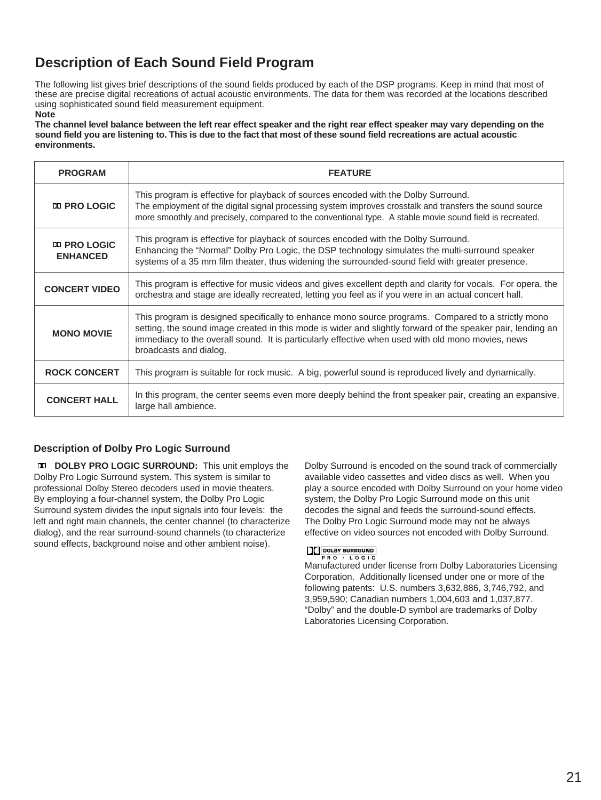## **Description of Each Sound Field Program**

The following list gives brief descriptions of the sound fields produced by each of the DSP programs. Keep in mind that most of these are precise digital recreations of actual acoustic environments. The data for them was recorded at the locations described using sophisticated sound field measurement equipment.

#### **Note**

**The channel level balance between the left rear effect speaker and the right rear effect speaker may vary depending on the sound field you are listening to. This is due to the fact that most of these sound field recreations are actual acoustic environments.**

| <b>PROGRAM</b>                                                                                                                                                                                                                                                                                                                                                        | <b>FEATURE</b>                                                                                                                                                                                                                                                                                             |
|-----------------------------------------------------------------------------------------------------------------------------------------------------------------------------------------------------------------------------------------------------------------------------------------------------------------------------------------------------------------------|------------------------------------------------------------------------------------------------------------------------------------------------------------------------------------------------------------------------------------------------------------------------------------------------------------|
| <b>EX PRO LOGIC</b>                                                                                                                                                                                                                                                                                                                                                   | This program is effective for playback of sources encoded with the Dolby Surround.<br>The employment of the digital signal processing system improves crosstalk and transfers the sound source<br>more smoothly and precisely, compared to the conventional type. A stable movie sound field is recreated. |
| <b>EX PRO LOGIC</b><br><b>ENHANCED</b>                                                                                                                                                                                                                                                                                                                                | This program is effective for playback of sources encoded with the Dolby Surround.<br>Enhancing the "Normal" Dolby Pro Logic, the DSP technology simulates the multi-surround speaker<br>systems of a 35 mm film theater, thus widening the surrounded-sound field with greater presence.                  |
| <b>CONCERT VIDEO</b>                                                                                                                                                                                                                                                                                                                                                  | This program is effective for music videos and gives excellent depth and clarity for vocals. For opera, the<br>orchestra and stage are ideally recreated, letting you feel as if you were in an actual concert hall.                                                                                       |
| This program is designed specifically to enhance mono source programs. Compared to a strictly mono<br>setting, the sound image created in this mode is wider and slightly forward of the speaker pair, lending an<br><b>MONO MOVIE</b><br>immediacy to the overall sound. It is particularly effective when used with old mono movies, news<br>broadcasts and dialog. |                                                                                                                                                                                                                                                                                                            |
| <b>ROCK CONCERT</b>                                                                                                                                                                                                                                                                                                                                                   | This program is suitable for rock music. A big, powerful sound is reproduced lively and dynamically.                                                                                                                                                                                                       |
| <b>CONCERT HALL</b>                                                                                                                                                                                                                                                                                                                                                   | In this program, the center seems even more deeply behind the front speaker pair, creating an expansive,<br>large hall ambience.                                                                                                                                                                           |

#### **Description of Dolby Pro Logic Surround**

**DOLBY PRO LOGIC SURROUND:** This unit employs the Dolby Pro Logic Surround system. This system is similar to professional Dolby Stereo decoders used in movie theaters. By employing a four-channel system, the Dolby Pro Logic Surround system divides the input signals into four levels: the left and right main channels, the center channel (to characterize dialog), and the rear surround-sound channels (to characterize sound effects, background noise and other ambient noise).

Dolby Surround is encoded on the sound track of commercially available video cassettes and video discs as well. When you play a source encoded with Dolby Surround on your home video system, the Dolby Pro Logic Surround mode on this unit decodes the signal and feeds the surround-sound effects. The Dolby Pro Logic Surround mode may not be always effective on video sources not encoded with Dolby Surround.

#### **DC DOLBY SURROUND**  $RO + LOGIC$

Manufactured under license from Dolby Laboratories Licensing Corporation. Additionally licensed under one or more of the following patents: U.S. numbers 3,632,886, 3,746,792, and 3,959,590; Canadian numbers 1,004,603 and 1,037,877. "Dolby" and the double-D symbol are trademarks of Dolby Laboratories Licensing Corporation.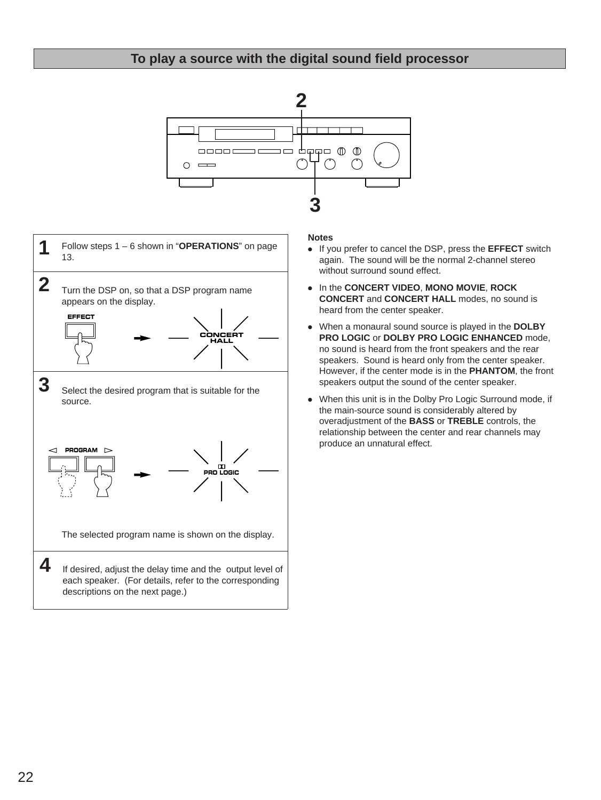### **To play a source with the digital sound field processor**





#### **Notes**

- If you prefer to cancel the DSP, press the **EFFECT** switch again. The sound will be the normal 2-channel stereo without surround sound effect.
- In the **CONCERT VIDEO**, **MONO MOVIE**, **ROCK CONCERT** and **CONCERT HALL** modes, no sound is heard from the center speaker.
- When a monaural sound source is played in the **DOLBY PRO LOGIC** or **DOLBY PRO LOGIC ENHANCED** mode, no sound is heard from the front speakers and the rear speakers. Sound is heard only from the center speaker. However, if the center mode is in the **PHANTOM**, the front speakers output the sound of the center speaker.
- When this unit is in the Dolby Pro Logic Surround mode, if the main-source sound is considerably altered by overadjustment of the **BASS** or **TREBLE** controls, the relationship between the center and rear channels may produce an unnatural effect.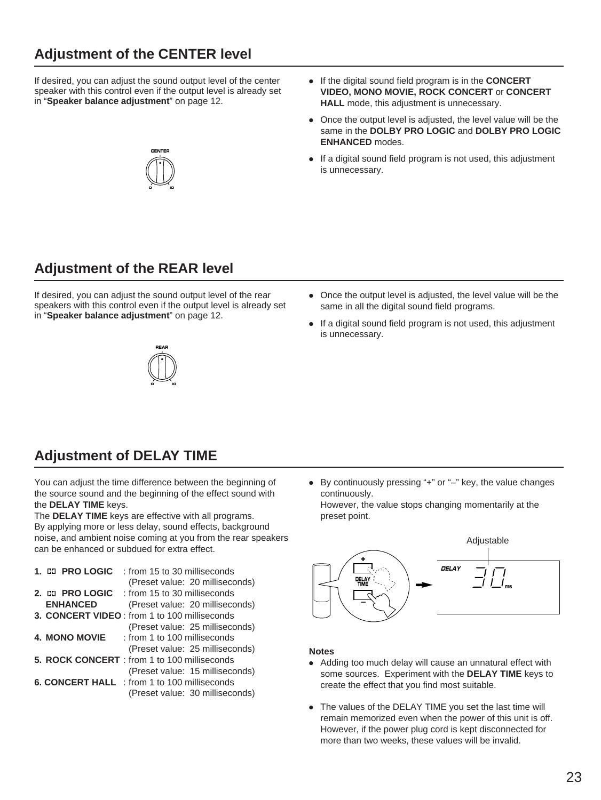## **Adjustment of the CENTER level**

If desired, you can adjust the sound output level of the center speaker with this control even if the output level is already set in "**Speaker balance adjustment**" on page 12.



- If the digital sound field program is in the **CONCERT VIDEO, MONO MOVIE, ROCK CONCERT** or **CONCERT HALL** mode, this adjustment is unnecessary.
- Once the output level is adjusted, the level value will be the same in the **DOLBY PRO LOGIC** and **DOLBY PRO LOGIC ENHANCED** modes.
- If a digital sound field program is not used, this adjustment is unnecessary.

## **Adjustment of the REAR level**

If desired, you can adjust the sound output level of the rear speakers with this control even if the output level is already set in "**Speaker balance adjustment**" on page 12.

- Once the output level is adjusted, the level value will be the same in all the digital sound field programs.
- If a digital sound field program is not used, this adjustment is unnecessary.



## **Adjustment of DELAY TIME**

You can adjust the time difference between the beginning of the source sound and the beginning of the effect sound with the **DELAY TIME** keys.

The **DELAY TIME** keys are effective with all programs. By applying more or less delay, sound effects, background noise, and ambient noise coming at you from the rear speakers can be enhanced or subdued for extra effect.

| 1. DO PRO LOGIC      | trom 15 to 30 milliseconds                          |
|----------------------|-----------------------------------------------------|
|                      | (Preset value: 20 milliseconds)                     |
|                      |                                                     |
| <b>ENHANCED</b>      | (Preset value: 20 milliseconds)                     |
|                      | 3. CONCERT VIDEO: from 1 to 100 milliseconds        |
|                      | (Preset value: 25 milliseconds)                     |
| <b>4. MONO MOVIE</b> | : from 1 to 100 milliseconds                        |
|                      | (Preset value: 25 milliseconds)                     |
|                      | 5. ROCK CONCERT : from 1 to 100 milliseconds        |
|                      | (Preset value: 15 milliseconds)                     |
|                      | <b>6. CONCERT HALL</b> : from 1 to 100 milliseconds |
|                      | (Preset value: 30 milliseconds)                     |

● By continuously pressing "+" or "–" key, the value changes continuously.

However, the value stops changing momentarily at the preset point.



#### **Notes**

- Adding too much delay will cause an unnatural effect with some sources. Experiment with the **DELAY TIME** keys to create the effect that you find most suitable.
- The values of the DELAY TIME you set the last time will remain memorized even when the power of this unit is off. However, if the power plug cord is kept disconnected for more than two weeks, these values will be invalid.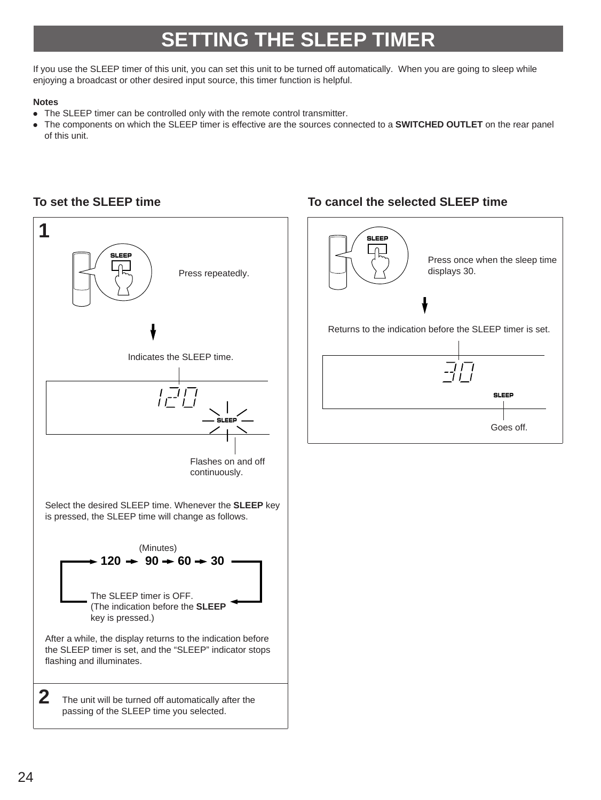## **SETTING THE SLEEP TIMER**

If you use the SLEEP timer of this unit, you can set this unit to be turned off automatically. When you are going to sleep while enjoying a broadcast or other desired input source, this timer function is helpful.

#### **Notes**

- The SLEEP timer can be controlled only with the remote control transmitter.
- The components on which the SLEEP timer is effective are the sources connected to a **SWITCHED OUTLET** on the rear panel of this unit.



### **To set the SLEEP time To cancel the selected SLEEP time**

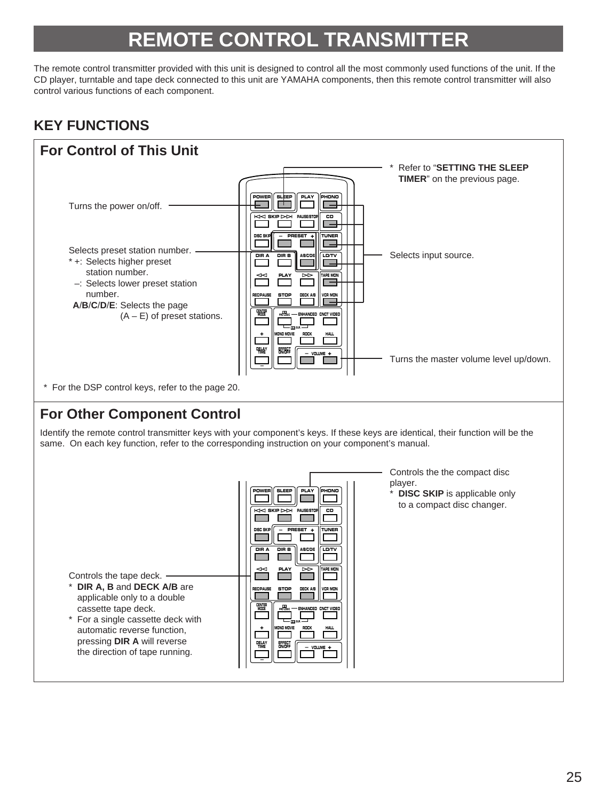## **REMOTE CONTROL TRANSMIT**

The remote control transmitter provided with this unit is designed to control all the most commonly used functions of the unit. If the CD player, turntable and tape deck connected to this unit are YAMAHA components, then this remote control transmitter will also control various functions of each component.

## **KEY FUNCTIONS**

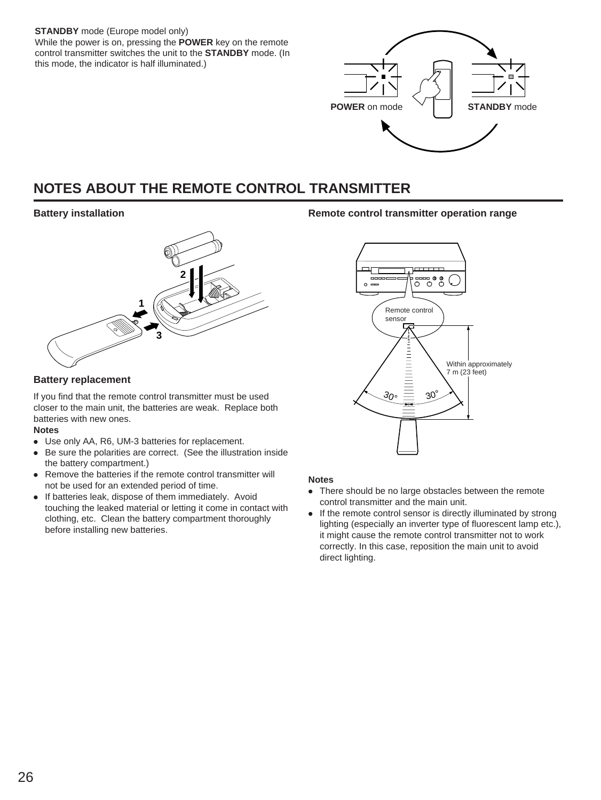**STANDBY** mode (Europe model only) While the power is on, pressing the **POWER** key on the remote control transmitter switches the unit to the **STANDBY** mode. (In this mode, the indicator is half illuminated.)



## **NOTES ABOUT THE REMOTE CONTROL TRANSMITTER**

#### **Battery installation**



#### **Battery replacement**

If you find that the remote control transmitter must be used closer to the main unit, the batteries are weak. Replace both batteries with new ones.

#### **Notes**

- Use only AA, R6, UM-3 batteries for replacement.
- Be sure the polarities are correct. (See the illustration inside the battery compartment.)
- Remove the batteries if the remote control transmitter will not be used for an extended period of time.
- If batteries leak, dispose of them immediately. Avoid touching the leaked material or letting it come in contact with clothing, etc. Clean the battery compartment thoroughly before installing new batteries.

#### **Remote control transmitter operation range**



#### **Notes**

- There should be no large obstacles between the remote control transmitter and the main unit.
- If the remote control sensor is directly illuminated by strong lighting (especially an inverter type of fluorescent lamp etc.), it might cause the remote control transmitter not to work correctly. In this case, reposition the main unit to avoid direct lighting.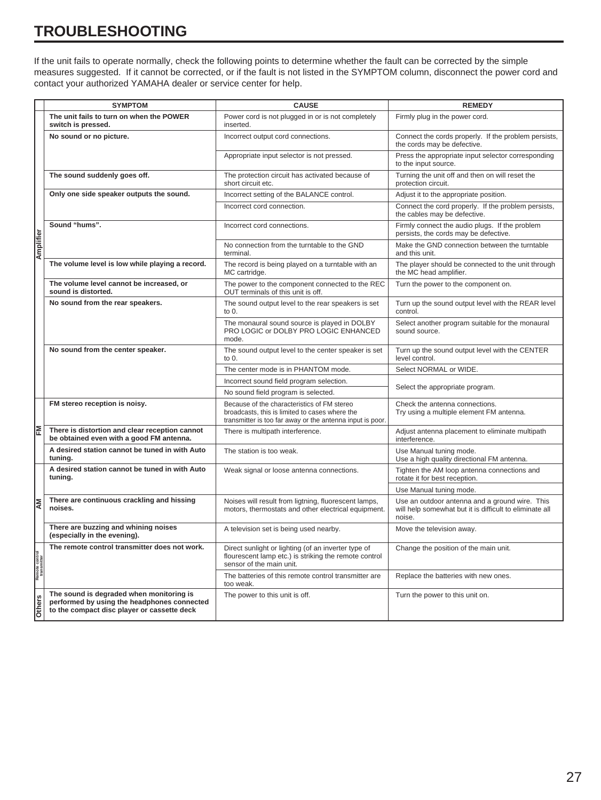## **TROUBLESHOOTING**

If the unit fails to operate normally, check the following points to determine whether the fault can be corrected by the simple measures suggested. If it cannot be corrected, or if the fault is not listed in the SYMPTOM column, disconnect the power cord and contact your authorized YAMAHA dealer or service center for help.

|                               | <b>SYMPTOM</b>                                                                                                                         | <b>CAUSE</b>                                                                                                                                               | <b>REMEDY</b>                                                                                                       |
|-------------------------------|----------------------------------------------------------------------------------------------------------------------------------------|------------------------------------------------------------------------------------------------------------------------------------------------------------|---------------------------------------------------------------------------------------------------------------------|
|                               | The unit fails to turn on when the POWER<br>switch is pressed.                                                                         | Power cord is not plugged in or is not completely<br>inserted.                                                                                             | Firmly plug in the power cord.                                                                                      |
|                               | No sound or no picture.                                                                                                                | Incorrect output cord connections.                                                                                                                         | Connect the cords properly. If the problem persists,<br>the cords may be defective.                                 |
|                               |                                                                                                                                        | Appropriate input selector is not pressed.                                                                                                                 | Press the appropriate input selector corresponding<br>to the input source.                                          |
|                               | The sound suddenly goes off.                                                                                                           | The protection circuit has activated because of<br>short circuit etc.                                                                                      | Turning the unit off and then on will reset the<br>protection circuit.                                              |
|                               | Only one side speaker outputs the sound.                                                                                               | Incorrect setting of the BALANCE control.                                                                                                                  | Adjust it to the appropriate position.                                                                              |
|                               |                                                                                                                                        | Incorrect cord connection.                                                                                                                                 | Connect the cord properly. If the problem persists,<br>the cables may be defective.                                 |
|                               | Sound "hums".                                                                                                                          | Incorrect cord connections.                                                                                                                                | Firmly connect the audio plugs. If the problem<br>persists, the cords may be defective.                             |
| Amplifier                     |                                                                                                                                        | No connection from the turntable to the GND<br>terminal.                                                                                                   | Make the GND connection between the turntable<br>and this unit.                                                     |
|                               | The volume level is low while playing a record.                                                                                        | The record is being played on a turntable with an<br>MC cartridge.                                                                                         | The player should be connected to the unit through<br>the MC head amplifier.                                        |
|                               | The volume level cannot be increased, or<br>sound is distorted.                                                                        | The power to the component connected to the REC<br>OUT terminals of this unit is off.                                                                      | Turn the power to the component on.                                                                                 |
|                               | No sound from the rear speakers.                                                                                                       | The sound output level to the rear speakers is set<br>to $0.$                                                                                              | Turn up the sound output level with the REAR level<br>control.                                                      |
|                               |                                                                                                                                        | The monaural sound source is played in DOLBY<br>PRO LOGIC or DOLBY PRO LOGIC ENHANCED<br>mode.                                                             | Select another program suitable for the monaural<br>sound source.                                                   |
|                               | No sound from the center speaker.                                                                                                      | The sound output level to the center speaker is set<br>to 0.                                                                                               | Turn up the sound output level with the CENTER<br>level control.                                                    |
|                               |                                                                                                                                        | The center mode is in PHANTOM mode.                                                                                                                        | Select NORMAL or WIDE.                                                                                              |
|                               |                                                                                                                                        | Incorrect sound field program selection.                                                                                                                   | Select the appropriate program.                                                                                     |
|                               |                                                                                                                                        | No sound field program is selected.                                                                                                                        |                                                                                                                     |
|                               | FM stereo reception is noisy.                                                                                                          | Because of the characteristics of FM stereo<br>broadcasts, this is limited to cases where the<br>transmitter is too far away or the antenna input is poor. | Check the antenna connections.<br>Try using a multiple element FM antenna.                                          |
|                               | There is distortion and clear reception cannot<br>be obtained even with a good FM antenna.                                             | There is multipath interference.                                                                                                                           | Adjust antenna placement to eliminate multipath<br>interference.                                                    |
|                               | A desired station cannot be tuned in with Auto<br>tuning.                                                                              | The station is too weak.                                                                                                                                   | Use Manual tuning mode.<br>Use a high quality directional FM antenna.                                               |
|                               | A desired station cannot be tuned in with Auto<br>tuning.                                                                              | Weak signal or loose antenna connections.                                                                                                                  | Tighten the AM loop antenna connections and<br>rotate it for best reception.                                        |
|                               |                                                                                                                                        |                                                                                                                                                            | Use Manual tuning mode.                                                                                             |
| kΜ                            | There are continuous crackling and hissing<br>noises.                                                                                  | Noises will result from ligtning, fluorescent lamps,<br>motors, thermostats and other electrical equipment.                                                | Use an outdoor antenna and a ground wire. This<br>will help somewhat but it is difficult to eliminate all<br>noise. |
|                               | There are buzzing and whining noises<br>(especially in the evening).                                                                   | A television set is being used nearby.                                                                                                                     | Move the television away.                                                                                           |
| Remote control<br>transmitter | The remote control transmitter does not work.                                                                                          | Direct sunlight or lighting (of an inverter type of<br>flourescent lamp etc.) is striking the remote control<br>sensor of the main unit.                   | Change the position of the main unit.                                                                               |
|                               |                                                                                                                                        | The batteries of this remote control transmitter are<br>too weak.                                                                                          | Replace the batteries with new ones.                                                                                |
| Others                        | The sound is degraded when monitoring is<br>performed by using the headphones connected<br>to the compact disc player or cassette deck | The power to this unit is off.                                                                                                                             | Turn the power to this unit on.                                                                                     |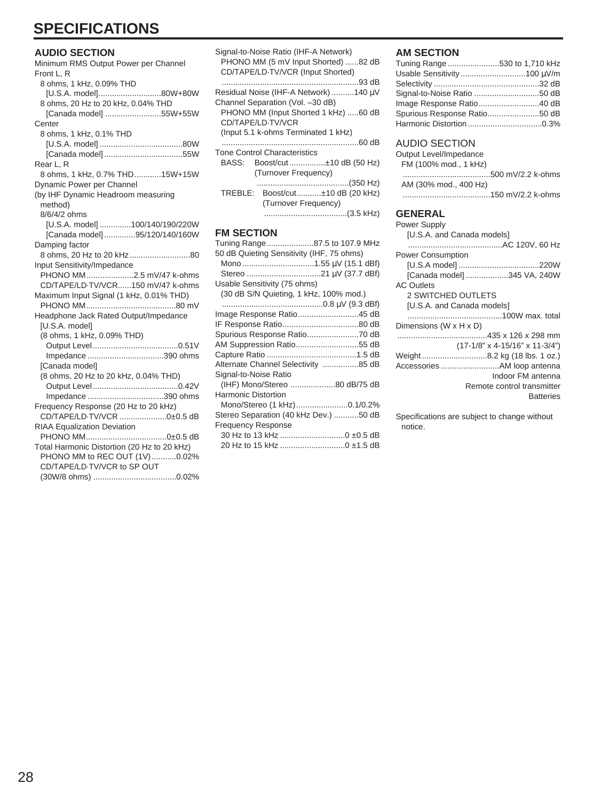## **SPECIFICATIONS**

#### **AUDIO SECTION**

| Minimum RMS Output Power per Channel        |
|---------------------------------------------|
| Front L. R                                  |
| 8 ohms, 1 kHz, 0.09% THD                    |
| [U.S.A. model]80W+80W                       |
| 8 ohms, 20 Hz to 20 kHz, 0.04% THD          |
| [Canada model] 55W+55W                      |
| Center                                      |
| 8 ohms, 1 kHz, 0.1% THD                     |
|                                             |
|                                             |
| Rear L, R                                   |
| 8 ohms, 1 kHz, 0.7% THD15W+15W              |
| Dynamic Power per Channel                   |
| (by IHF Dynamic Headroom measuring          |
| method)                                     |
| 8/6/4/2 ohms                                |
| [U.S.A. model] 100/140/190/220W             |
| [Canada model]95/120/140/160W               |
| Damping factor                              |
|                                             |
| Input Sensitivity/Impedance                 |
| PHONO MM2.5 mV/47 k-ohms                    |
| CD/TAPE/LD-TV/VCR150 mV/47 k-ohms           |
| Maximum Input Signal (1 kHz, 0.01% THD)     |
|                                             |
| Headphone Jack Rated Output/Impedance       |
| [U.S.A. model]                              |
| (8 ohms, 1 kHz, 0.09% THD)                  |
|                                             |
| Impedance 390 ohms                          |
| [Canada model]                              |
| (8 ohms, 20 Hz to 20 kHz, 0.04% THD)        |
|                                             |
| Impedance 390 ohms                          |
| Frequency Response (20 Hz to 20 kHz)        |
| CD/TAPE/LD-TV/VCR 0±0.5 dB                  |
| RIAA Equalization Deviation                 |
|                                             |
| Total Harmonic Distortion (20 Hz to 20 kHz) |
| PHONO MM to REC OUT (1V)0.02%               |
| CD/TAPE/LD-TV/VCR to SP OUT                 |
|                                             |

| Signal-to-Noise Ratio (IHF-A Network)<br>PHONO MM (5 mV Input Shorted) 82 dB<br>CD/TAPE/LD-TV/VCR (Input Shorted) |
|-------------------------------------------------------------------------------------------------------------------|
| Residual Noise (IHF-A Network) 140 µV                                                                             |
|                                                                                                                   |
| Channel Separation (Vol. -30 dB)<br>PHONO MM (Input Shorted 1 kHz) 60 dB                                          |
| CD/TAPE/LD-TV/VCR                                                                                                 |
| (Input 5.1 k-ohms Terminated 1 kHz)                                                                               |
|                                                                                                                   |
| <b>Tone Control Characteristics</b>                                                                               |
| BASS:<br>Boost/cut±10 dB (50 Hz)                                                                                  |
| (Turnover Frequency)                                                                                              |
|                                                                                                                   |
| TREBLE: Boost/cut±10 dB (20 kHz)                                                                                  |
| (Turnover Frequency)                                                                                              |
|                                                                                                                   |
|                                                                                                                   |
| <b>FM SECTION</b>                                                                                                 |
| Tuning Range87.5 to 107.9 MHz                                                                                     |
| 50 dB Quieting Sensitivity (IHF, 75 ohms)                                                                         |
|                                                                                                                   |
|                                                                                                                   |
| Usable Sensitivity (75 ohms)                                                                                      |
| (30 dB S/N Quieting, 1 kHz, 100% mod.)                                                                            |
| Image Response Ratio45 dB                                                                                         |
|                                                                                                                   |
| Spurious Response Ratio70 dB                                                                                      |
| AM Suppression Ratio55 dB                                                                                         |
|                                                                                                                   |
| Alternate Channel Selectivity 85 dB                                                                               |

(IHF) Mono/Stereo ....................80 dB/75 dB

Mono/Stereo (1 kHz).......................0.1/0.2% Stereo Separation (40 kHz Dev.) ...........50 dB

30 Hz to 13 kHz .............................0 ±0.5 dB 20 Hz to 15 kHz .............................0 ±1.5 dB

Signal-to-Noise Ratio

Harmonic Distortion

Frequency Response

#### **AM SECTION**

| Tuning Range 530 to 1,710 kHz |  |
|-------------------------------|--|
|                               |  |
|                               |  |
|                               |  |
|                               |  |
| Spurious Response Ratio50 dB  |  |
|                               |  |

#### AUDIO SECTION

| Output Level/Impedance |  |
|------------------------|--|
| FM (100% mod., 1 kHz)  |  |
|                        |  |
| AM (30% mod., 400 Hz)  |  |
|                        |  |

#### **GENERAL**

| <b>Power Supply</b>                        |
|--------------------------------------------|
| [U.S.A. and Canada models]                 |
|                                            |
| <b>Power Consumption</b>                   |
|                                            |
| [Canada model] 345 VA, 240W                |
| <b>AC Outlets</b>                          |
| 2 SWITCHED OUTLETS                         |
| [U.S.A. and Canada models]                 |
|                                            |
| Dimensions (W x H x D)                     |
| 435 x 126 x 298 mm                         |
| $(17-1/8" \times 4-15/16" \times 11-3/4")$ |
| Weight8.2 kg (18 lbs. 1 oz.)               |
|                                            |
| Indoor FM antenna                          |
| Remote control transmitter                 |
| <b>Batteries</b>                           |
|                                            |

Specifications are subject to change without notice.